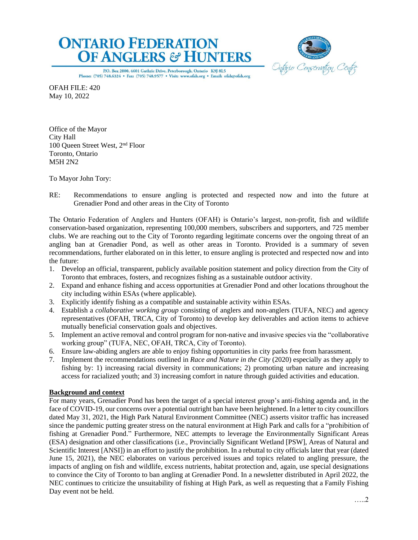



P.O. Box 2800, 4601 Guthrie Drive, Peterborough, Ontario K9J 8L5 Phone: (705) 748.6324 · Fax: (705) 748.9577 · Visit: www.ofah.org · Email: ofah@ofah.org

OFAH FILE: 420 May 10, 2022

Office of the Mayor City Hall 100 Queen Street West, 2nd Floor Toronto, Ontario M5H 2N2

To Mayor John Tory:

RE: Recommendations to ensure angling is protected and respected now and into the future at Grenadier Pond and other areas in the City of Toronto

The Ontario Federation of Anglers and Hunters (OFAH) is Ontario's largest, non-profit, fish and wildlife conservation-based organization, representing 100,000 members, subscribers and supporters, and 725 member clubs. We are reaching out to the City of Toronto regarding legitimate concerns over the ongoing threat of an angling ban at Grenadier Pond, as well as other areas in Toronto. Provided is a summary of seven recommendations, further elaborated on in this letter, to ensure angling is protected and respected now and into the future:

- 1. Develop an official, transparent, publicly available position statement and policy direction from the City of Toronto that embraces, fosters, and recognizes fishing as a sustainable outdoor activity.
- 2. Expand and enhance fishing and access opportunities at Grenadier Pond and other locations throughout the city including within ESAs (where applicable).
- 3. Explicitly identify fishing as a compatible and sustainable activity within ESAs.
- 4. Establish a *collaborative working group* consisting of anglers and non-anglers (TUFA, NEC) and agency representatives (OFAH, TRCA, City of Toronto) to develop key deliverables and action items to achieve mutually beneficial conservation goals and objectives.
- 5. Implement an active removal and control program for non-native and invasive species via the "collaborative working group" (TUFA, NEC, OFAH, TRCA, City of Toronto).
- 6. Ensure law-abiding anglers are able to enjoy fishing opportunities in city parks free from harassment.
- 7. Implement the recommendations outlined in *Race and Nature in the City* (2020) especially as they apply to fishing by: 1) increasing racial diversity in communications; 2) promoting urban nature and increasing access for racialized youth; and 3) increasing comfort in nature through guided activities and education.

## **Background and context**

For many years, Grenadier Pond has been the target of a special interest group's anti-fishing agenda and, in the face of COVID-19, our concerns over a potential outright ban have been heightened. In a letter to city councillors dated May 31, 2021, the High Park Natural Environment Committee (NEC) asserts visitor traffic has increased since the pandemic putting greater stress on the natural environment at High Park and calls for a "prohibition of fishing at Grenadier Pond." Furthermore, NEC attempts to leverage the Environmentally Significant Areas (ESA) designation and other classifications (i.e., Provincially Significant Wetland [PSW], Areas of Natural and Scientific Interest [ANSI]) in an effort to justify the prohibition. In a rebuttal to city officials later that year (dated June 15, 2021), the NEC elaborates on various perceived issues and topics related to angling pressure, the impacts of angling on fish and wildlife, excess nutrients, habitat protection and, again, use special designations to convince the City of Toronto to ban angling at Grenadier Pond. In a newsletter distributed in April 2022, the NEC continues to criticize the unsuitability of fishing at High Park, as well as requesting that a Family Fishing Day event not be held.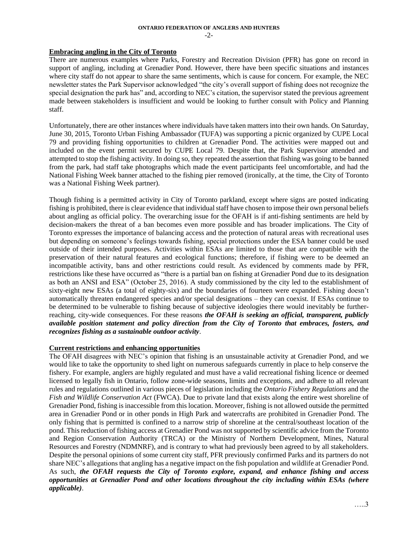# **ONTARIO FEDERATION OF ANGLERS AND HUNTERS**

 $-2-$ 

# **Embracing angling in the City of Toronto**

There are numerous examples where Parks, Forestry and Recreation Division (PFR) has gone on record in support of angling, including at Grenadier Pond. However, there have been specific situations and instances where city staff do not appear to share the same sentiments, which is cause for concern. For example, the NEC newsletter states the Park Supervisor acknowledged "the city's overall support of fishing does not recognize the special designation the park has" and, according to NEC's citation, the supervisor stated the previous agreement made between stakeholders is insufficient and would be looking to further consult with Policy and Planning staff.

Unfortunately, there are other instances where individuals have taken matters into their own hands. On Saturday, June 30, 2015, Toronto Urban Fishing Ambassador (TUFA) was supporting a picnic organized by CUPE Local 79 and providing fishing opportunities to children at Grenadier Pond. The activities were mapped out and included on the event permit secured by CUPE Local 79. Despite that, the Park Supervisor attended and attempted to stop the fishing activity. In doing so, they repeated the assertion that fishing was going to be banned from the park, had staff take photographs which made the event participants feel uncomfortable, and had the National Fishing Week banner attached to the fishing pier removed (ironically, at the time, the City of Toronto was a National Fishing Week partner).

Though fishing is a permitted activity in City of Toronto parkland, except where signs are posted indicating fishing is prohibited, there is clear evidence that individual staff have chosen to impose their own personal beliefs about angling as official policy. The overarching issue for the OFAH is if anti-fishing sentiments are held by decision-makers the threat of a ban becomes even more possible and has broader implications. The City of Toronto expresses the importance of balancing access and the protection of natural areas with recreational uses but depending on someone's feelings towards fishing, special protections under the ESA banner could be used outside of their intended purposes. Activities within ESAs are limited to those that are compatible with the preservation of their natural features and ecological functions; therefore, if fishing were to be deemed an incompatible activity, bans and other restrictions could result. As evidenced by comments made by PFR, restrictions like these have occurred as "there is a partial ban on fishing at Grenadier Pond due to its designation as both an ANSI and ESA" (October 25, 2016). A study commissioned by the city led to the establishment of sixty-eight new ESAs (a total of eighty-six) and the boundaries of fourteen were expanded. Fishing doesn't automatically threaten endangered species and/or special designations – they can coexist. If ESAs continue to be determined to be vulnerable to fishing because of subjective ideologies there would inevitably be furtherreaching, city-wide consequences. For these reasons *the OFAH is seeking an official, transparent, publicly available position statement and policy direction from the City of Toronto that embraces, fosters, and recognizes fishing as a sustainable outdoor activity*.

## **Current restrictions and enhancing opportunities**

The OFAH disagrees with NEC's opinion that fishing is an unsustainable activity at Grenadier Pond, and we would like to take the opportunity to shed light on numerous safeguards currently in place to help conserve the fishery. For example, anglers are highly regulated and must have a valid recreational fishing licence or deemed licensed to legally fish in Ontario, follow zone-wide seasons, limits and exceptions, and adhere to all relevant rules and regulations outlined in various pieces of legislation including the *Ontario Fishery Regulations* and the *Fish and Wildlife Conservation Act* (FWCA). Due to private land that exists along the entire west shoreline of Grenadier Pond, fishing is inaccessible from this location. Moreover, fishing is not allowed outside the permitted area in Grenadier Pond or in other ponds in High Park and watercrafts are prohibited in Grenadier Pond. The only fishing that is permitted is confined to a narrow strip of shoreline at the central/southeast location of the pond. This reduction of fishing access at Grenadier Pond was not supported by scientific advice from the Toronto and Region Conservation Authority (TRCA) or the Ministry of Northern Development, Mines, Natural Resources and Forestry (NDMNRF), and is contrary to what had previously been agreed to by all stakeholders. Despite the personal opinions of some current city staff, PFR previously confirmed Parks and its partners do not share NEC's allegations that angling has a negative impact on the fish population and wildlife at Grenadier Pond. As such, *the OFAH requests the City of Toronto explore, expand, and enhance fishing and access opportunities at Grenadier Pond and other locations throughout the city including within ESAs (where applicable)*.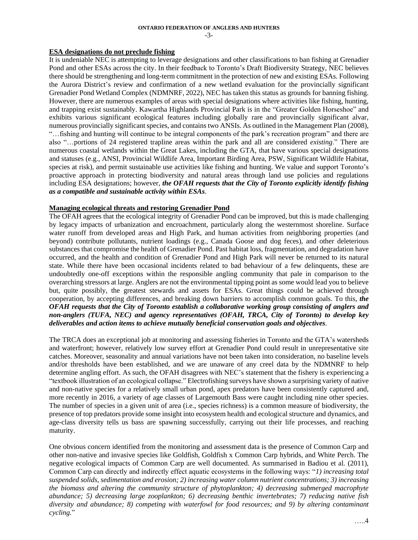$-3-$ 

## **ESA designations do not preclude fishing**

It is undeniable NEC is attempting to leverage designations and other classifications to ban fishing at Grenadier Pond and other ESAs across the city. In their feedback to Toronto's Draft Biodiversity Strategy, NEC believes there should be strengthening and long-term commitment in the protection of new and existing ESAs. Following the Aurora District's review and confirmation of a new wetland evaluation for the provincially significant Grenadier Pond Wetland Complex (NDMNRF, 2022), NEC has taken this status as grounds for banning fishing. However, there are numerous examples of areas with special designations where activities like fishing, hunting, and trapping exist sustainably. Kawartha Highlands Provincial Park is in the "Greater Golden Horseshoe" and exhibits various significant ecological features including globally rare and provincially significant alvar, numerous provincially significant species, and contains two ANSIs. As outlined in the Management Plan (2008), "…fishing and hunting will continue to be integral components of the park's recreation program" and there are also "…portions of 24 registered trapline areas within the park and all are considered *existing*." There are numerous coastal wetlands within the Great Lakes, including the GTA, that have various special designations and statuses (e.g., ANSI, Provincial Wildlife Area, Important Birding Area, PSW, Significant Wildlife Habitat, species at risk), and permit sustainable use activities like fishing and hunting. We value and support Toronto's proactive approach in protecting biodiversity and natural areas through land use policies and regulations including ESA designations; however, *the OFAH requests that the City of Toronto explicitly identify fishing as a compatible and sustainable activity within ESAs*.

#### **Managing ecological threats and restoring Grenadier Pond**

The OFAH agrees that the ecological integrity of Grenadier Pond can be improved, but this is made challenging by legacy impacts of urbanization and encroachment, particularly along the westernmost shoreline. Surface water runoff from developed areas and High Park, and human activities from neighboring properties (and beyond) contribute pollutants, nutrient loadings (e.g., Canada Goose and dog feces), and other deleterious substances that compromise the health of Grenadier Pond. Past habitat loss, fragmentation, and degradation have occurred, and the health and condition of Grenadier Pond and High Park will never be returned to its natural state. While there have been occasional incidents related to bad behaviour of a few delinquents, these are undoubtedly one-off exceptions within the responsible angling community that pale in comparison to the overarching stressors at large. Anglers are not the environmental tipping point as some would lead you to believe but, quite possibly, the greatest stewards and assets for ESAs. Great things could be achieved through cooperation, by accepting differences, and breaking down barriers to accomplish common goals. To this, *the OFAH requests that the City of Toronto establish a collaborative working group consisting of anglers and non-anglers (TUFA, NEC) and agency representatives (OFAH, TRCA, City of Toronto) to develop key deliverables and action items to achieve mutually beneficial conservation goals and objectives*.

The TRCA does an exceptional job at monitoring and assessing fisheries in Toronto and the GTA's watersheds and waterfront; however, relatively low survey effort at Grenadier Pond could result in unrepresentative site catches. Moreover, seasonality and annual variations have not been taken into consideration, no baseline levels and/or thresholds have been established, and we are unaware of any creel data by the NDMNRF to help determine angling effort. As such, the OFAH disagrees with NEC's statement that the fishery is experiencing a "textbook illustration of an ecological collapse." Electrofishing surveys have shown a surprising variety of native and non-native species for a relatively small urban pond, apex predators have been consistently captured and, more recently in 2016, a variety of age classes of Largemouth Bass were caught including nine other species. The number of species in a given unit of area (i.e., species richness) is a common measure of biodiversity, the presence of top predators provide some insight into ecosystem health and ecological structure and dynamics, and age-class diversity tells us bass are spawning successfully, carrying out their life processes, and reaching maturity.

One obvious concern identified from the monitoring and assessment data is the presence of Common Carp and other non-native and invasive species like Goldfish, Goldfish x Common Carp hybrids, and White Perch. The negative ecological impacts of Common Carp are well documented. As summarised in Badiou et al. (2011), Common Carp can directly and indirectly effect aquatic ecosystems in the following ways: "*1) increasing total suspended solids, sedimentation and erosion; 2) increasing water column nutrient concentrations; 3) increasing the biomass and altering the community structure of phytoplankton; 4) decreasing submerged macrophyte abundance; 5) decreasing large zooplankton; 6) decreasing benthic invertebrates; 7) reducing native fish diversity and abundance; 8) competing with waterfowl for food resources; and 9) by altering contaminant cycling.*"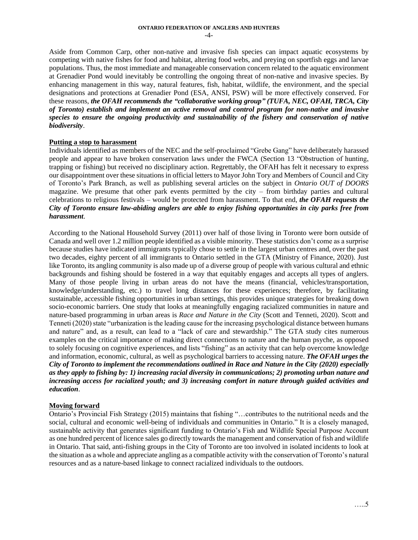Aside from Common Carp, other non-native and invasive fish species can impact aquatic ecosystems by competing with native fishes for food and habitat, altering food webs, and preying on sportfish eggs and larvae populations. Thus, the most immediate and manageable conservation concern related to the aquatic environment at Grenadier Pond would inevitably be controlling the ongoing threat of non-native and invasive species. By enhancing management in this way, natural features, fish, habitat, wildlife, the environment, and the special designations and protections at Grenadier Pond (ESA, ANSI, PSW) will be more effectively conserved. For these reasons, *the OFAH recommends the "collaborative working group" (TUFA, NEC, OFAH, TRCA, City of Toronto) establish and implement an active removal and control program for non-native and invasive species to ensure the ongoing productivity and sustainability of the fishery and conservation of native biodiversity*.

#### **Putting a stop to harassment**

Individuals identified as members of the NEC and the self-proclaimed "Grebe Gang" have deliberately harassed people and appear to have broken conservation laws under the FWCA (Section 13 "Obstruction of hunting, trapping or fishing) but received no disciplinary action. Regrettably, the OFAH has felt it necessary to express our disappointment over these situations in official letters to Mayor John Tory and Members of Council and City of Toronto's Park Branch, as well as publishing several articles on the subject in *Ontario OUT of DOORS* magazine. We presume that other park events permitted by the city – from birthday parties and cultural celebrations to religious festivals – would be protected from harassment. To that end, *the OFAH requests the City of Toronto ensure law-abiding anglers are able to enjoy fishing opportunities in city parks free from harassment*.

According to the National Household Survey (2011) over half of those living in Toronto were born outside of Canada and well over 1.2 million people identified as a visible minority. These statistics don't come as a surprise because studies have indicated immigrants typically chose to settle in the largest urban centres and, over the past two decades, eighty percent of all immigrants to Ontario settled in the GTA (Ministry of Finance, 2020). Just like Toronto, its angling community is also made up of a diverse group of people with various cultural and ethnic backgrounds and fishing should be fostered in a way that equitably engages and accepts all types of anglers. Many of those people living in urban areas do not have the means (financial, vehicles/transportation, knowledge/understanding, etc.) to travel long distances for these experiences; therefore, by facilitating sustainable, accessible fishing opportunities in urban settings, this provides unique strategies for breaking down socio-economic barriers. One study that looks at meaningfully engaging racialized communities in nature and nature-based programming in urban areas is *Race and Nature in the City* (Scott and Tenneti, 2020). Scott and Tenneti (2020) state "urbanization is the leading cause for the increasing psychological distance between humans and nature" and, as a result, can lead to a "lack of care and stewardship." The GTA study cites numerous examples on the critical importance of making direct connections to nature and the human psyche, as opposed to solely focusing on cognitive experiences, and lists "fishing" as an activity that can help overcome knowledge and information, economic, cultural, as well as psychological barriers to accessing nature. *The OFAH urges the City of Toronto to implement the recommendations outlined in Race and Nature in the City (2020) especially as they apply to fishing by: 1) increasing racial diversity in communications; 2) promoting urban nature and increasing access for racialized youth; and 3) increasing comfort in nature through guided activities and education*.

## **Moving forward**

Ontario's Provincial Fish Strategy (2015) maintains that fishing "…contributes to the nutritional needs and the social, cultural and economic well-being of individuals and communities in Ontario." It is a closely managed, sustainable activity that generates significant funding to Ontario's Fish and Wildlife Special Purpose Account as one hundred percent of licence sales go directly towards the management and conservation of fish and wildlife in Ontario. That said, anti-fishing groups in the City of Toronto are too involved in isolated incidents to look at the situation as a whole and appreciate angling as a compatible activity with the conservation of Toronto's natural resources and as a nature-based linkage to connect racialized individuals to the outdoors.